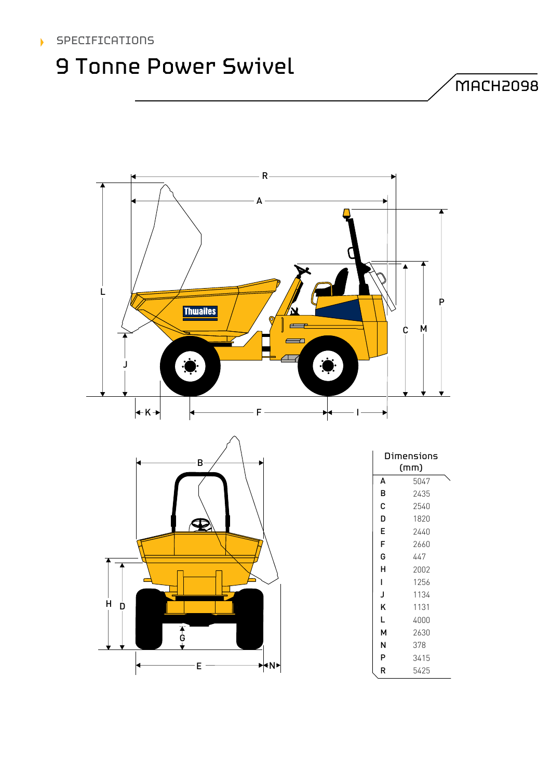### SPECIFICATIONS

## 9 Tonne Power Swivel

MACH2098





| Dimensions<br>(mm) |      |  |
|--------------------|------|--|
| A                  | 5047 |  |
| B                  | 2435 |  |
| C                  | 2540 |  |
| D                  | 1820 |  |
| E                  | 2440 |  |
| F                  | 2660 |  |
| G                  | 447  |  |
| н                  | 2002 |  |
| L                  | 1256 |  |
| J                  | 1134 |  |
| K                  | 1131 |  |
| L                  | 4000 |  |
| М                  | 2630 |  |
| N                  | 378  |  |
| P                  | 3415 |  |
| R                  | 5425 |  |